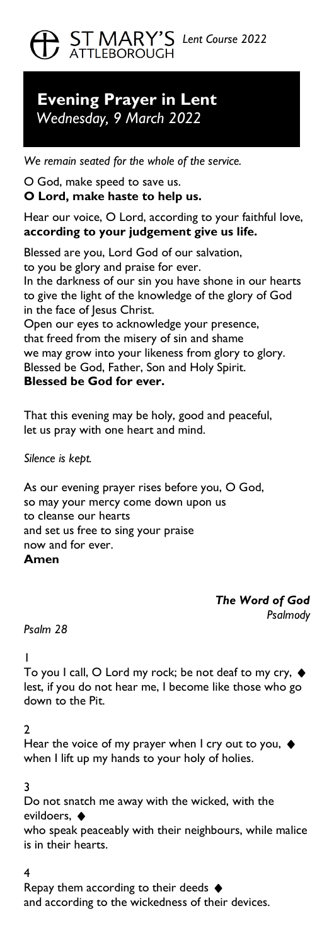# **CD** ST MARY'S Lent Course 2022

## **Evening Prayer in Lent**   *Wednesday, 9 March 2022*

*We remain seated for the whole of the service.*

O God, make speed to save us. **O Lord, make haste to help us.**

Hear our voice, O Lord, according to your faithful love, **according to your judgement give us life.**

Blessed are you, Lord God of our salvation, to you be glory and praise for ever. In the darkness of our sin you have shone in our hearts to give the light of the knowledge of the glory of God in the face of Jesus Christ. Open our eyes to acknowledge your presence,

that freed from the misery of sin and shame we may grow into your likeness from glory to glory. Blessed be God, Father, Son and Holy Spirit. **Blessed be God for ever.**

That this evening may be holy, good and peaceful, let us pray with one heart and mind.

*Silence is kept.*

As our evening prayer rises before you, O God, so may your mercy come down upon us to cleanse our hearts and set us free to sing your praise now and for ever. **Amen**

> *The Word of God Psalmody*

*Psalm 28*

1

To you I call, O Lord my rock; be not deaf to my cry, ♦ lest, if you do not hear me, I become like those who go down to the Pit.

າ

Hear the voice of my prayer when I cry out to you,  $\blacklozenge$ when I lift up my hands to your holy of holies.

3

Do not snatch me away with the wicked, with the evildoers, ♦

who speak peaceably with their neighbours, while malice is in their hearts.

#### 4

Repay them according to their deeds ♦ and according to the wickedness of their devices.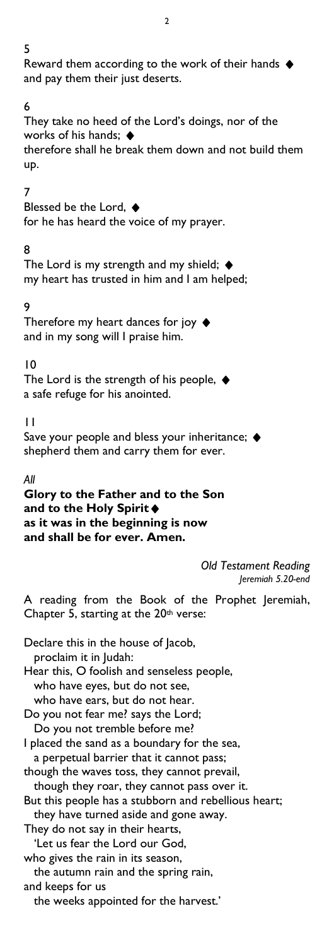Reward them according to the work of their hands ♦ and pay them their just deserts.

#### 6

They take no heed of the Lord's doings, nor of the works of his hands:  $\triangleleft$ therefore shall he break them down and not build them up.

#### 7

Blessed be the Lord, ♦ for he has heard the voice of my prayer.

#### 8

The Lord is my strength and my shield;  $\blacklozenge$ my heart has trusted in him and I am helped;

#### 9

Therefore my heart dances for joy ♦ and in my song will I praise him.

#### 10

The Lord is the strength of his people, ♦ a safe refuge for his anointed.

#### 11

Save your people and bless your inheritance;  $\blacklozenge$ shepherd them and carry them for ever.

#### *All*

**Glory to the Father and to the Son and to the Holy Spirit**♦ **as it was in the beginning is now and shall be for ever. Amen.**

> *Old Testament Reading Jeremiah 5.20-end*

A reading from the Book of the Prophet Jeremiah, Chapter 5, starting at the 20<sup>th</sup> verse:

Declare this in the house of Jacob, proclaim it in Judah: Hear this, O foolish and senseless people, who have eyes, but do not see, who have ears, but do not hear. Do you not fear me? says the Lord; Do you not tremble before me? I placed the sand as a boundary for the sea, a perpetual barrier that it cannot pass; though the waves toss, they cannot prevail, though they roar, they cannot pass over it. But this people has a stubborn and rebellious heart; they have turned aside and gone away. They do not say in their hearts, 'Let us fear the Lord our God, who gives the rain in its season, the autumn rain and the spring rain, and keeps for us the weeks appointed for the harvest.'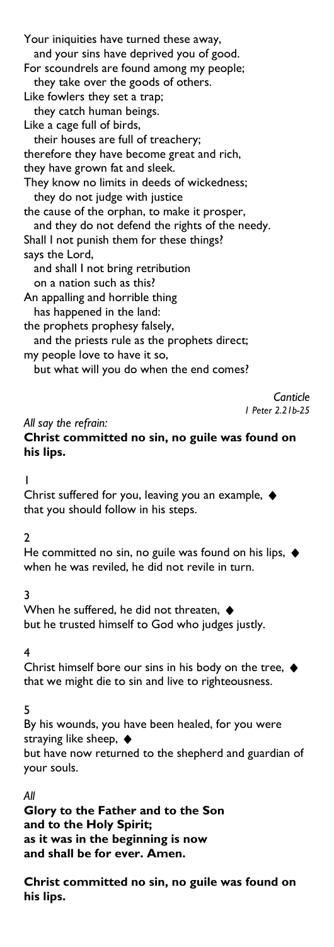Your iniquities have turned these away, and your sins have deprived you of good. For scoundrels are found among my people; they take over the goods of others. Like fowlers they set a trap; they catch human beings. Like a cage full of birds, their houses are full of treachery; therefore they have become great and rich, they have grown fat and sleek. They know no limits in deeds of wickedness; they do not judge with justice the cause of the orphan, to make it prosper, and they do not defend the rights of the needy. Shall I not punish them for these things? says the Lord, and shall I not bring retribution on a nation such as this? An appalling and horrible thing has happened in the land: the prophets prophesy falsely, and the priests rule as the prophets direct; my people love to have it so, but what will you do when the end comes?

> *Canticle 1 Peter 2.21b-25*

*All say the refrain:*

#### **Christ committed no sin, no guile was found on his lips.**

#### 1

Christ suffered for you, leaving you an example, ♦ that you should follow in his steps.

#### 2

He committed no sin, no guile was found on his lips,  $\triangleleft$ when he was reviled, he did not revile in turn.

#### 3

When he suffered, he did not threaten,  $\blacklozenge$ but he trusted himself to God who judges justly.

#### 4

Christ himself bore our sins in his body on the tree, ♦ that we might die to sin and live to righteousness.

#### 5

By his wounds, you have been healed, for you were straying like sheep, ♦ but have now returned to the shepherd and guardian of your souls.

#### *All*

**Glory to the Father and to the Son and to the Holy Spirit; as it was in the beginning is now and shall be for ever. Amen.**

**Christ committed no sin, no guile was found on his lips.**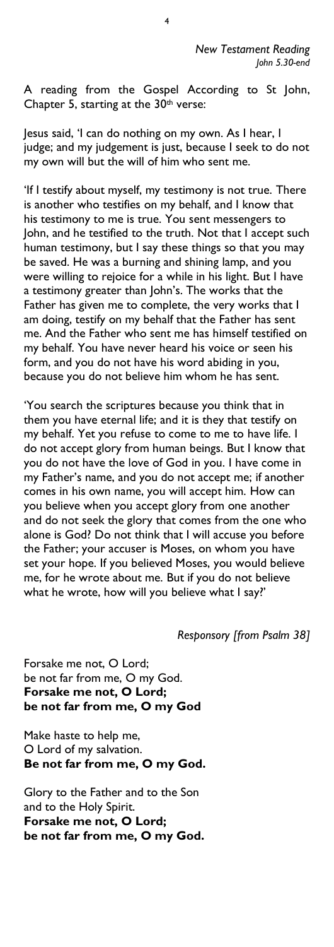A reading from the Gospel According to St John, Chapter 5, starting at the 30<sup>th</sup> verse:

Jesus said, 'I can do nothing on my own. As I hear, I judge; and my judgement is just, because I seek to do not my own will but the will of him who sent me.

'If I testify about myself, my testimony is not true. There is another who testifies on my behalf, and I know that his testimony to me is true. You sent messengers to John, and he testified to the truth. Not that I accept such human testimony, but I say these things so that you may be saved. He was a burning and shining lamp, and you were willing to rejoice for a while in his light. But I have a testimony greater than John's. The works that the Father has given me to complete, the very works that I am doing, testify on my behalf that the Father has sent me. And the Father who sent me has himself testified on my behalf. You have never heard his voice or seen his form, and you do not have his word abiding in you, because you do not believe him whom he has sent.

'You search the scriptures because you think that in them you have eternal life; and it is they that testify on my behalf. Yet you refuse to come to me to have life. I do not accept glory from human beings. But I know that you do not have the love of God in you. I have come in my Father's name, and you do not accept me; if another comes in his own name, you will accept him. How can you believe when you accept glory from one another and do not seek the glory that comes from the one who alone is God? Do not think that I will accuse you before the Father; your accuser is Moses, on whom you have set your hope. If you believed Moses, you would believe me, for he wrote about me. But if you do not believe what he wrote, how will you believe what I say?'

*Responsory [from Psalm 38]*

Forsake me not, O Lord; be not far from me, O my God. **Forsake me not, O Lord; be not far from me, O my God** 

Make haste to help me, O Lord of my salvation. **Be not far from me, O my God.**

Glory to the Father and to the Son and to the Holy Spirit. **Forsake me not, O Lord; be not far from me, O my God.**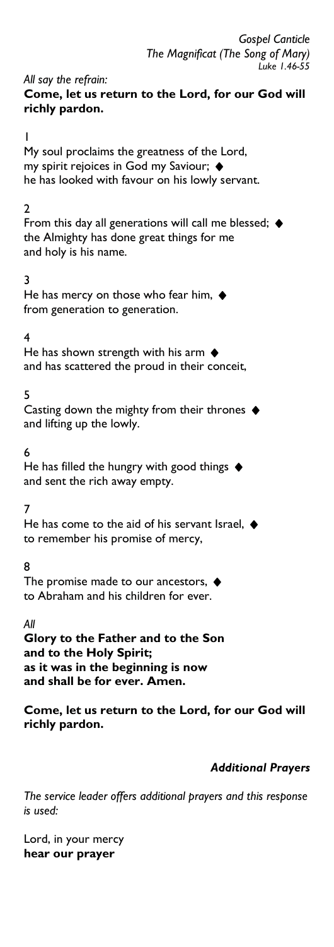*Gospel Canticle The Magnificat (The Song of Mary) Luke 1.46-55 All say the refrain:* **Come, let us return to the Lord, for our God will richly pardon.** 1 My soul proclaims the greatness of the Lord, my spirit rejoices in God my Saviour; ♦ he has looked with favour on his lowly servant.  $\overline{\phantom{a}}$ From this day all generations will call me blessed;  $\triangleleft$ the Almighty has done great things for me and holy is his name. 3 He has mercy on those who fear him,  $\triangleleft$ from generation to generation. 4 He has shown strength with his arm  $\triangleleft$ and has scattered the proud in their conceit, 5 Casting down the mighty from their thrones ♦ and lifting up the lowly.

6

He has filled the hungry with good things  $\blacklozenge$ and sent the rich away empty.

7

He has come to the aid of his servant Israel,  $\triangle$ to remember his promise of mercy,

8

The promise made to our ancestors, ♦ to Abraham and his children for ever.

*All*

**Glory to the Father and to the Son and to the Holy Spirit; as it was in the beginning is now and shall be for ever. Amen.**

**Come, let us return to the Lord, for our God will richly pardon.**

### *Additional Prayers*

*The service leader offers additional prayers and this response is used:*

Lord, in your mercy **hear our prayer**